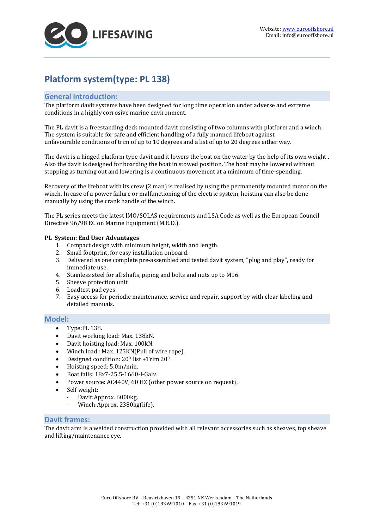

# **Platform system(type: PL 138)**

## **General introduction:**

The platform davit systems have been designed for long time operation under adverse and extreme conditions in a highly corrosive marine environment.

The PL davit is a freestanding deck mounted davit consisting of two columns with platform and a winch. The system is suitable for safe and efficient handling of a fully manned lifeboat against unfavourable conditions of trim of up to 10 degrees and a list of up to 20 degrees either way.

The davit is a hinged platform type davit and it lowers the boat on the water by the help of its own weight . Also the davit is designed for boarding the boat in stowed position. The boat may be lowered without stopping as turning out and lowering is a continuous movement at a minimum of time-spending.

Recovery of the lifeboat with its crew (2 man) is realised by using the permanently mounted motor on the winch. In case of a power failure or malfunctioning of the electric system, hoisting can also be done manually by using the crank handle of the winch.

The PL series meets the latest IMO/SOLAS requirements and LSA Code as well as the European Council Directive 96/98 EC on Marine Equipment (M.E.D.).

#### **PL System: End User Advantages**

- 1. Compact design with minimum height, width and length.
- 2. Small footprint, for easy installation onboard.
- 3. Delivered as one complete pre-assembled and tested davit system, "plug and play", ready for immediate use.
- 4. Stainless steel for all shafts, piping and bolts and nuts up to M16.
- 5. Sheeve protection unit
- 6. Loadtest pad eyes
- 7. Easy access for periodic maintenance, service and repair, support by with clear labeling and detailed manuals.

## **Model:**

- Type:PL 138.
- Davit working load: Max. 138kN.
- Davit hoisting load: Max. 100kN.
- Winch load : Max. 125KN(Pull of wire rope).
- Designed condition: 200 list +Trim 200.
- Hoisting speed:  $5.0 \text{m/min}$ .<br>• Boat falls:  $18x7-255-1660$ .
- Boat falls: 18x7-25.5-1660-I-Galv.
- Power source: AC440V, 60 HZ (other power source on request) .
- Self weight:
	- Davit: Approx. 6000kg.
	- Winch: Approx. 2380kg(life).

## **Davit frames:**

The davit arm is a welded construction provided with all relevant accessories such as sheaves, top sheave and lifting/maintenance eye.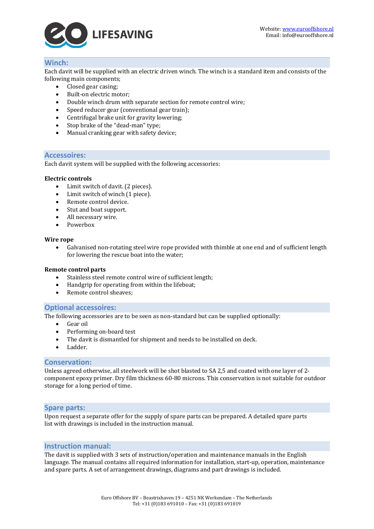

## **Winch:**

Each davit will be supplied with an electric driven winch. The winch is a standard item and consists of the following main components;<br>
• Closed gear casing:

- Closed gear casing;
- Built-on electric motor;
- Double winch drum with separate section for remote control wire;
- Speed reducer gear (conventional gear train);
- Centrifugal brake unit for gravity lowering;
- Stop brake of the "dead-man" type;
- Manual cranking gear with safety device;

#### **Accessoires:**

Each davit system will be supplied with the following accessories:

#### **Electric controls**

- Limit switch of davit. (2 pieces).
- Limit switch of winch (1 piece).
- Remote control device.
- Stut and boat support.
- All necessary wire.
- Powerbox

#### **Wire rope**

• Galvanised non-rotating steel wire rope provided with thimble at one end and of sufficient length for lowering the rescue boat into the water;

#### **Remote control parts**

- Stainless steel remote control wire of sufficient length;
- Handgrip for operating from within the lifeboat;<br>• Remote control sheaves:
- Remote control sheaves;

## **Optional accessoires:**

The following accessories are to be seen as non-standard but can be supplied optionally:

- Gear oil
- Performing on-board test
- The davit is dismantled for shipment and needs to be installed on deck.
- Ladder.

## **Conservation:**

Unless agreed otherwise, all steelwork will be shot blasted to SA 2,5 and coated with one layer of 2 component epoxy primer. Dry film thickness 60-80 microns. This conservation is not suitable for outdoor storage for a long period of time.

#### **Spare parts:**

Upon request a separate offer for the supply of spare parts can be prepared. A detailed spare parts list with drawings is included in the instruction manual.

## **Instruction manual:**

The davit is supplied with 3 sets of instruction/operation and maintenance manuals in the English language. The manual contains all required information for installation, start-up, operation, maintenance and spare parts. A set of arrangement drawings, diagrams and part drawings is included.